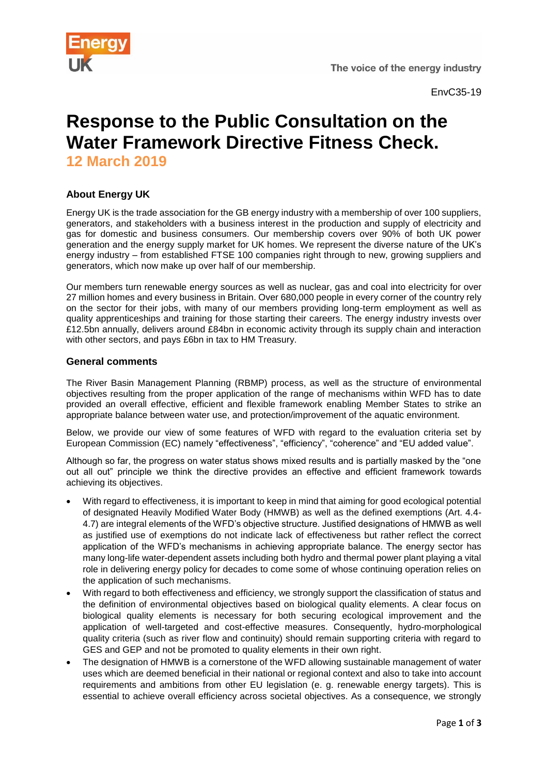

# **Response to the Public Consultation on the Water Framework Directive Fitness Check. 12 March 2019**

## **About Energy UK**

Energy UK is the trade association for the GB energy industry with a membership of over 100 suppliers, generators, and stakeholders with a business interest in the production and supply of electricity and gas for domestic and business consumers. Our membership covers over 90% of both UK power generation and the energy supply market for UK homes. We represent the diverse nature of the UK's energy industry – from established FTSE 100 companies right through to new, growing suppliers and generators, which now make up over half of our membership.

Our members turn renewable energy sources as well as nuclear, gas and coal into electricity for over 27 million homes and every business in Britain. Over 680,000 people in every corner of the country rely on the sector for their jobs, with many of our members providing long-term employment as well as quality apprenticeships and training for those starting their careers. The energy industry invests over £12.5bn annually, delivers around £84bn in economic activity through its supply chain and interaction with other sectors, and pays £6bn in tax to HM Treasury.

### **General comments**

The River Basin Management Planning (RBMP) process, as well as the structure of environmental objectives resulting from the proper application of the range of mechanisms within WFD has to date provided an overall effective, efficient and flexible framework enabling Member States to strike an appropriate balance between water use, and protection/improvement of the aquatic environment.

Below, we provide our view of some features of WFD with regard to the evaluation criteria set by European Commission (EC) namely "effectiveness", "efficiency", "coherence" and "EU added value".

Although so far, the progress on water status shows mixed results and is partially masked by the "one out all out" principle we think the directive provides an effective and efficient framework towards achieving its objectives.

- With regard to effectiveness, it is important to keep in mind that aiming for good ecological potential of designated Heavily Modified Water Body (HMWB) as well as the defined exemptions (Art. 4.4- 4.7) are integral elements of the WFD's objective structure. Justified designations of HMWB as well as justified use of exemptions do not indicate lack of effectiveness but rather reflect the correct application of the WFD's mechanisms in achieving appropriate balance. The energy sector has many long-life water-dependent assets including both hydro and thermal power plant playing a vital role in delivering energy policy for decades to come some of whose continuing operation relies on the application of such mechanisms.
- With regard to both effectiveness and efficiency, we strongly support the classification of status and the definition of environmental objectives based on biological quality elements. A clear focus on biological quality elements is necessary for both securing ecological improvement and the application of well-targeted and cost-effective measures. Consequently, hydro-morphological quality criteria (such as river flow and continuity) should remain supporting criteria with regard to GES and GEP and not be promoted to quality elements in their own right.
- The designation of HMWB is a cornerstone of the WFD allowing sustainable management of water uses which are deemed beneficial in their national or regional context and also to take into account requirements and ambitions from other EU legislation (e. g. renewable energy targets). This is essential to achieve overall efficiency across societal objectives. As a consequence, we strongly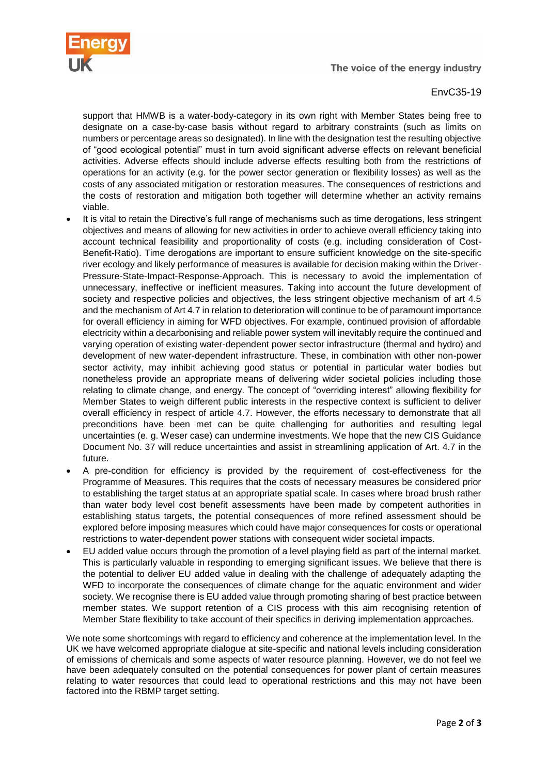



#### EnvC35-19

support that HMWB is a water-body-category in its own right with Member States being free to designate on a case-by-case basis without regard to arbitrary constraints (such as limits on numbers or percentage areas so designated). In line with the designation test the resulting objective of "good ecological potential" must in turn avoid significant adverse effects on relevant beneficial activities. Adverse effects should include adverse effects resulting both from the restrictions of operations for an activity (e.g. for the power sector generation or flexibility losses) as well as the costs of any associated mitigation or restoration measures. The consequences of restrictions and the costs of restoration and mitigation both together will determine whether an activity remains viable.

- It is vital to retain the Directive's full range of mechanisms such as time derogations, less stringent objectives and means of allowing for new activities in order to achieve overall efficiency taking into account technical feasibility and proportionality of costs (e.g. including consideration of Cost-Benefit-Ratio). Time derogations are important to ensure sufficient knowledge on the site-specific river ecology and likely performance of measures is available for decision making within the Driver-Pressure-State-Impact-Response-Approach. This is necessary to avoid the implementation of unnecessary, ineffective or inefficient measures. Taking into account the future development of society and respective policies and objectives, the less stringent objective mechanism of art 4.5 and the mechanism of Art 4.7 in relation to deterioration will continue to be of paramount importance for overall efficiency in aiming for WFD objectives. For example, continued provision of affordable electricity within a decarbonising and reliable power system will inevitably require the continued and varying operation of existing water-dependent power sector infrastructure (thermal and hydro) and development of new water-dependent infrastructure. These, in combination with other non-power sector activity, may inhibit achieving good status or potential in particular water bodies but nonetheless provide an appropriate means of delivering wider societal policies including those relating to climate change, and energy. The concept of "overriding interest" allowing flexibility for Member States to weigh different public interests in the respective context is sufficient to deliver overall efficiency in respect of article 4.7. However, the efforts necessary to demonstrate that all preconditions have been met can be quite challenging for authorities and resulting legal uncertainties (e. g. Weser case) can undermine investments. We hope that the new CIS Guidance Document No. 37 will reduce uncertainties and assist in streamlining application of Art. 4.7 in the future.
- A pre-condition for efficiency is provided by the requirement of cost-effectiveness for the Programme of Measures. This requires that the costs of necessary measures be considered prior to establishing the target status at an appropriate spatial scale. In cases where broad brush rather than water body level cost benefit assessments have been made by competent authorities in establishing status targets, the potential consequences of more refined assessment should be explored before imposing measures which could have major consequences for costs or operational restrictions to water-dependent power stations with consequent wider societal impacts.
- EU added value occurs through the promotion of a level playing field as part of the internal market. This is particularly valuable in responding to emerging significant issues. We believe that there is the potential to deliver EU added value in dealing with the challenge of adequately adapting the WFD to incorporate the consequences of climate change for the aquatic environment and wider society. We recognise there is EU added value through promoting sharing of best practice between member states. We support retention of a CIS process with this aim recognising retention of Member State flexibility to take account of their specifics in deriving implementation approaches.

We note some shortcomings with regard to efficiency and coherence at the implementation level. In the UK we have welcomed appropriate dialogue at site-specific and national levels including consideration of emissions of chemicals and some aspects of water resource planning. However, we do not feel we have been adequately consulted on the potential consequences for power plant of certain measures relating to water resources that could lead to operational restrictions and this may not have been factored into the RBMP target setting.